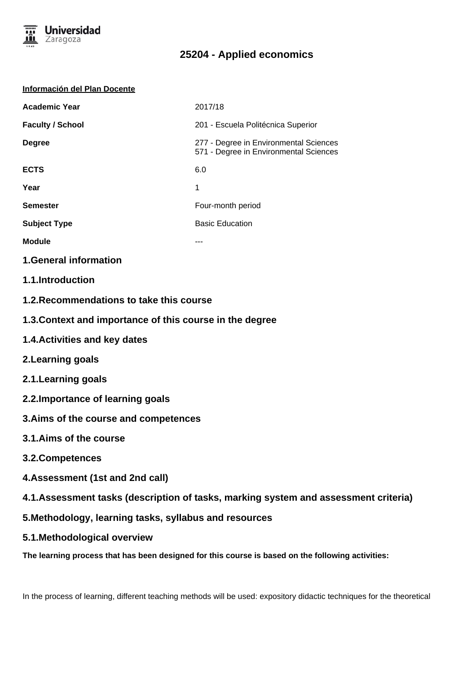

#### **Información del Plan Docente**

| <b>Academic Year</b>    | 2017/18                                                                          |
|-------------------------|----------------------------------------------------------------------------------|
| <b>Faculty / School</b> | 201 - Escuela Politécnica Superior                                               |
| <b>Degree</b>           | 277 - Degree in Environmental Sciences<br>571 - Degree in Environmental Sciences |
| <b>ECTS</b>             | 6.0                                                                              |
| Year                    | 1                                                                                |
| <b>Semester</b>         | Four-month period                                                                |
| <b>Subject Type</b>     | <b>Basic Education</b>                                                           |
| <b>Module</b>           |                                                                                  |
|                         |                                                                                  |

#### **1.General information**

- **1.1.Introduction**
- **1.2.Recommendations to take this course**
- **1.3.Context and importance of this course in the degree**
- **1.4.Activities and key dates**
- **2.Learning goals**
- **2.1.Learning goals**
- **2.2.Importance of learning goals**
- **3.Aims of the course and competences**
- **3.1.Aims of the course**
- **3.2.Competences**
- **4.Assessment (1st and 2nd call)**
- **4.1.Assessment tasks (description of tasks, marking system and assessment criteria)**
- **5.Methodology, learning tasks, syllabus and resources**
- **5.1.Methodological overview**

**The learning process that has been designed for this course is based on the following activities:**

In the process of learning, different teaching methods will be used: expository didactic techniques for the theoretical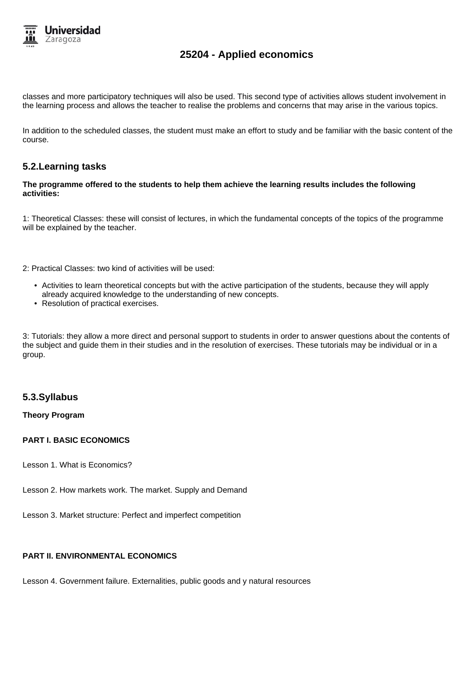

classes and more participatory techniques will also be used. This second type of activities allows student involvement in the learning process and allows the teacher to realise the problems and concerns that may arise in the various topics.

In addition to the scheduled classes, the student must make an effort to study and be familiar with the basic content of the course.

#### **5.2.Learning tasks**

#### **The programme offered to the students to help them achieve the learning results includes the following activities:**

1: Theoretical Classes: these will consist of lectures, in which the fundamental concepts of the topics of the programme will be explained by the teacher.

2: Practical Classes: two kind of activities will be used:

- Activities to learn theoretical concepts but with the active participation of the students, because they will apply already acquired knowledge to the understanding of new concepts.
- Resolution of practical exercises.

3: Tutorials: they allow a more direct and personal support to students in order to answer questions about the contents of the subject and guide them in their studies and in the resolution of exercises. These tutorials may be individual or in a group.

#### **5.3.Syllabus**

#### **Theory Program**

#### **PART I. BASIC ECONOMICS**

Lesson 1. What is Economics?

Lesson 2. How markets work. The market. Supply and Demand

Lesson 3. Market structure: Perfect and imperfect competition

### **PART II. ENVIRONMENTAL ECONOMICS**

Lesson 4. Government failure. Externalities, public goods and y natural resources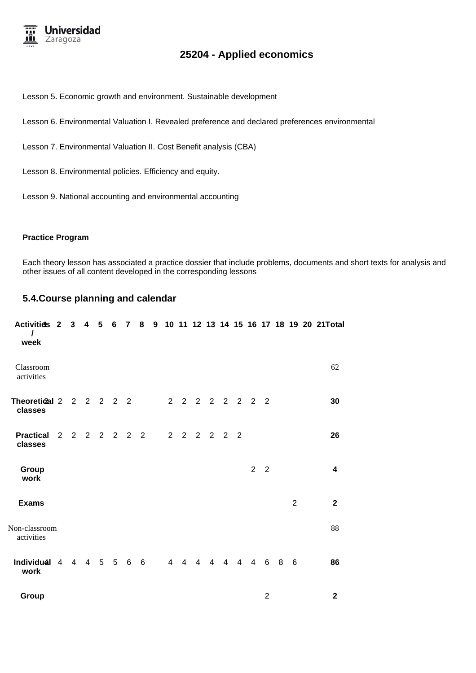

Lesson 5. Economic growth and environment. Sustainable development

Lesson 6. Environmental Valuation I. Revealed preference and declared preferences environmental

Lesson 7. Environmental Valuation II. Cost Benefit analysis (CBA)

Lesson 8. Environmental policies. Efficiency and equity.

Lesson 9. National accounting and environmental accounting

#### **Practice Program**

Each theory lesson has associated a practice dossier that include problems, documents and short texts for analysis and other issues of all content developed in the corresponding lessons

#### **5.4.Course planning and calendar**

| <b>Activitids 2</b><br>$\prime$<br>week | 3              | 4 | 5          | $\bf 6$ | $\overline{\mathbf{r}}$ | 8               |  |            |                 |                |                             |                |                |                |   |                | 9 10 11 12 13 14 15 16 17 18 19 20 21Total |
|-----------------------------------------|----------------|---|------------|---------|-------------------------|-----------------|--|------------|-----------------|----------------|-----------------------------|----------------|----------------|----------------|---|----------------|--------------------------------------------|
| Classroom<br>activities                 |                |   |            |         |                         |                 |  |            |                 |                |                             |                |                |                |   |                | 62                                         |
| Theoretical 2 2 2 2 2 2<br>classes      |                |   |            |         |                         |                 |  |            | 2 2 2 2 2 2 2 2 |                |                             |                |                |                |   |                | 30                                         |
| <b>Practical</b><br>classes             |                |   |            |         | 2 2 2 2 2 2 2           |                 |  | $2\quad 2$ |                 |                | $2 \quad 2 \quad 2 \quad 2$ |                |                |                |   |                | 26                                         |
| Group<br>work                           |                |   |            |         |                         |                 |  |            |                 |                |                             |                | $\overline{2}$ | $\overline{2}$ |   |                | 4                                          |
| <b>Exams</b>                            |                |   |            |         |                         |                 |  |            |                 |                |                             |                |                |                |   | $\overline{2}$ | $\mathbf{2}$                               |
| Non-classroom<br>activities             |                |   |            |         |                         |                 |  |            |                 |                |                             |                |                |                |   |                | 88                                         |
| Individual 4<br>work                    | $\overline{4}$ |   | $4\quad 5$ |         | $5\quad 6$              | $6\overline{6}$ |  | 4 4        | $\overline{4}$  | $\overline{4}$ | $\overline{4}$              | $\overline{4}$ | $\overline{4}$ | 6              | 8 | 6              | 86                                         |
| Group                                   |                |   |            |         |                         |                 |  |            |                 |                |                             |                |                | $\overline{2}$ |   |                | 2                                          |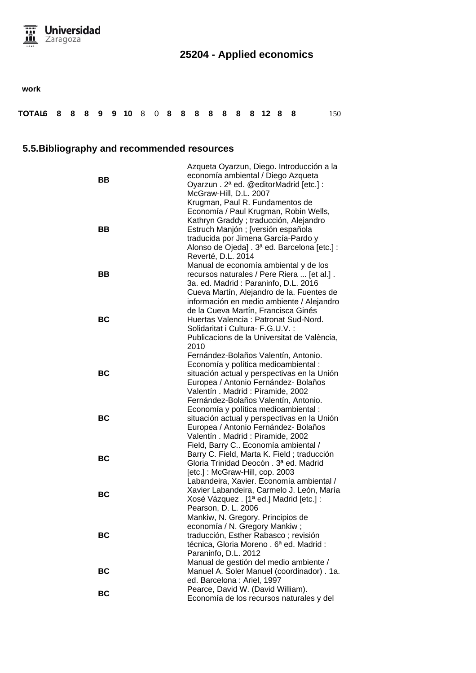

**work**

| TOTAL6 8 8 8 9 9 10 8 0 8 8 8 8 8 8 8 12 8 8 |  |  |  |  |  |  |  |  |  |  |  |  |  |  |  |  |  |  | 150 |
|----------------------------------------------|--|--|--|--|--|--|--|--|--|--|--|--|--|--|--|--|--|--|-----|
|----------------------------------------------|--|--|--|--|--|--|--|--|--|--|--|--|--|--|--|--|--|--|-----|

## **5.5.Bibliography and recommended resources**

|           | Azqueta Oyarzun, Diego. Introducción a la   |
|-----------|---------------------------------------------|
| BВ        | economía ambiental / Diego Azqueta          |
|           | Oyarzun. 2ª ed. @editorMadrid [etc.] :      |
|           | McGraw-Hill, D.L. 2007                      |
|           | Krugman, Paul R. Fundamentos de             |
|           | Economía / Paul Krugman, Robin Wells,       |
|           | Kathryn Graddy; traducción, Alejandro       |
| BВ        | Estruch Manjón; [versión española           |
|           | traducida por Jimena García-Pardo y         |
|           | Alonso de Ojeda]. 3ª ed. Barcelona [etc.] : |
|           | Reverté, D.L. 2014                          |
|           | Manual de economía ambiental y de los       |
| ВB        | recursos naturales / Pere Riera  [et al.].  |
|           | 3a. ed. Madrid: Paraninfo, D.L. 2016        |
|           | Cueva Martín, Alejandro de la. Fuentes de   |
|           | información en medio ambiente / Alejandro   |
|           | de la Cueva Martín, Francisca Ginés         |
| BC        | Huertas Valencia: Patronat Sud-Nord.        |
|           | Solidaritat i Cultura- F.G.U.V. :           |
|           | Publicacions de la Universitat de València, |
|           | 2010                                        |
|           | Fernández-Bolaños Valentín, Antonio.        |
|           | Economía y política medioambiental :        |
| <b>BC</b> | situación actual y perspectivas en la Unión |
|           | Europea / Antonio Fernández- Bolaños        |
|           | Valentín. Madrid: Piramide, 2002            |
|           | Fernández-Bolaños Valentín, Antonio.        |
|           | Economía y política medioambiental :        |
| ВC        | situación actual y perspectivas en la Unión |
|           | Europea / Antonio Fernández- Bolaños        |
|           | Valentín. Madrid: Piramide, 2002            |
|           | Field, Barry C Economía ambiental /         |
|           | Barry C. Field, Marta K. Field; traducción  |
| ВC        | Gloria Trinidad Deocón . 3ª ed. Madrid      |
|           | [etc.]: McGraw-Hill, cop. 2003              |
|           | Labandeira, Xavier. Economía ambiental /    |
|           | Xavier Labandeira, Carmelo J. León, María   |
| ВC        | Xosé Vázquez . [1ª ed.] Madrid [etc.] :     |
|           | Pearson, D. L. 2006                         |
|           | Mankiw, N. Gregory. Principios de           |
|           | economía / N. Gregory Mankiw;               |
| BC        | traducción, Esther Rabasco; revisión        |
|           | técnica, Gloria Moreno. 6ª ed. Madrid:      |
|           | Paraninfo, D.L. 2012                        |
|           | Manual de gestión del medio ambiente /      |
| BC        | Manuel A. Soler Manuel (coordinador). 1a.   |
|           | ed. Barcelona : Ariel, 1997                 |
| <b>BC</b> | Pearce, David W. (David William).           |
|           | Economía de los recursos naturales y del    |
|           |                                             |